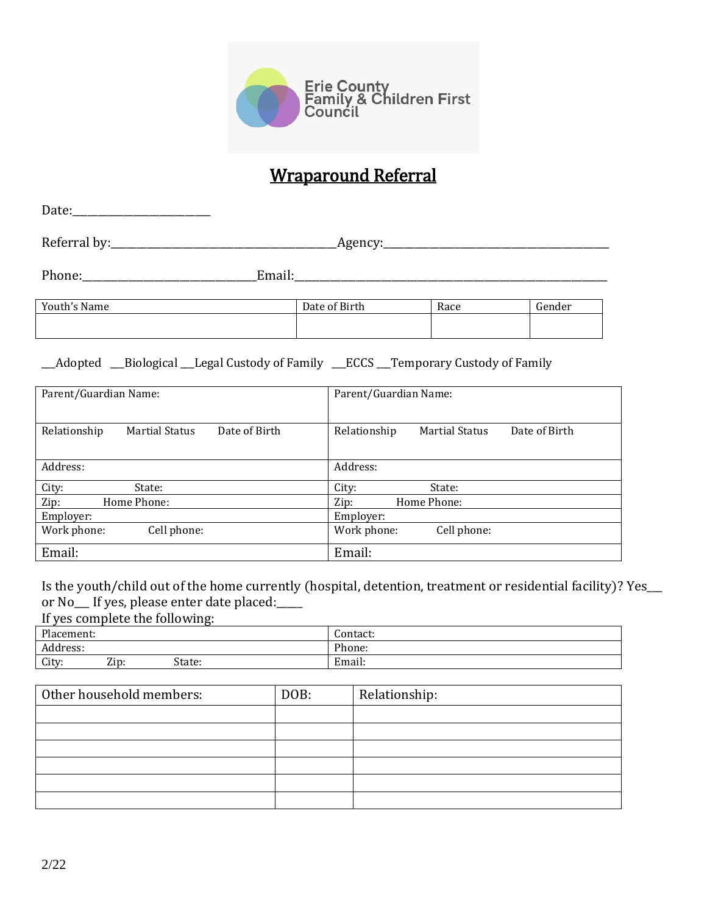

# Wraparound Referral

| Date of Birth | Race                            | Gender                                                                                                                                                   |  |
|---------------|---------------------------------|----------------------------------------------------------------------------------------------------------------------------------------------------------|--|
|               |                                 |                                                                                                                                                          |  |
|               |                                 |                                                                                                                                                          |  |
|               | Parent/Guardian Name:           |                                                                                                                                                          |  |
| Relationship  |                                 | Date of Birth                                                                                                                                            |  |
| Address:      |                                 |                                                                                                                                                          |  |
|               | State:                          |                                                                                                                                                          |  |
|               | $\mathbf{7:}$ and $\mathbf{7:}$ | Phone: Email: Email:<br>Adopted __Biological __Legal Custody of Family ___ECCS __Temporary Custody of Family<br><b>Martial Status</b><br>II ama a Dhanac |  |

Zip: Home Phone: Zip: Home Phone: Employer:<br>
Work phone: Cell phone: Cell phone: Work phone<br>
Employer: Cell phone: Work phone<br>
Employer: Cell phone: Cell phone<br>
Cell phone: Cell phone<br>
Cell phone: Cell phone<br>
Cell phone<br>
Cell phone<br>
Cell phone<br>
Cell phone<br> Work phone: Cell phone: Email: Email: Email: Email: Email: Email: Email: Email: Email: Email: Email: Email: Email: Email: Email: Email: Email: Email: Email: Email: Email: Email: Email: Email: Email: Email: Email: Email: Email: Email: Email: Email

Is the youth/child out of the home currently (hospital, detention, treatment or residential facility)? Yes\_\_\_ or No\_\_\_ If yes, please enter date placed:\_\_\_\_\_

If yes complete the following:

| Placement: |      |        | Contact:                 |
|------------|------|--------|--------------------------|
| Address:   |      |        | Phone:                   |
| City:      | Zip: | State: | $\cdot$ 1<br>-<br>Email: |

| Other household members: | DOB: | Relationship: |
|--------------------------|------|---------------|
|                          |      |               |
|                          |      |               |
|                          |      |               |
|                          |      |               |
|                          |      |               |
|                          |      |               |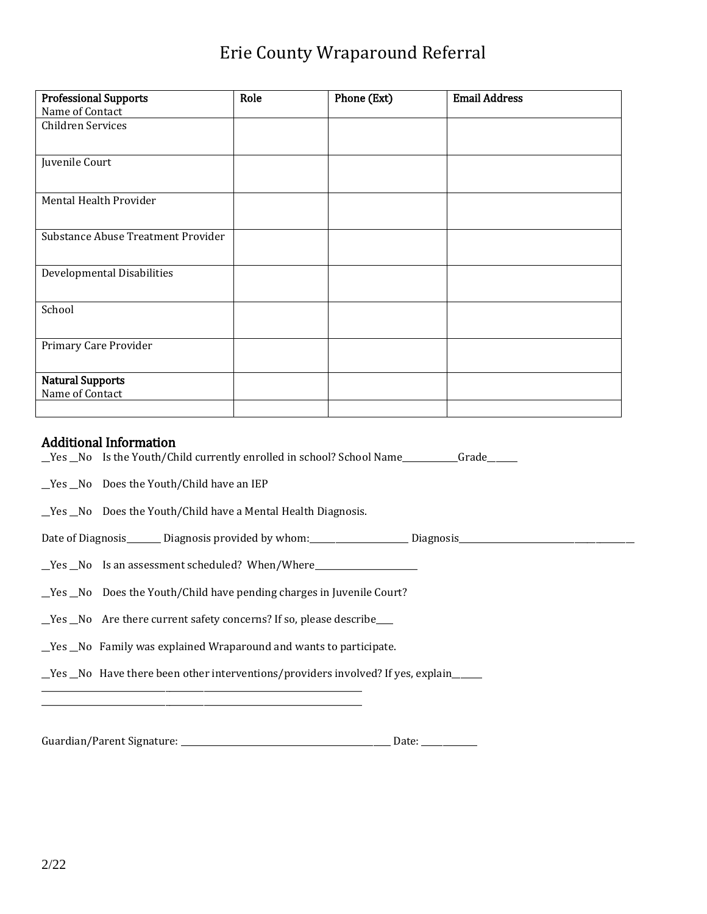# Erie County Wraparound Referral

| <b>Professional Supports</b>       | Role | Phone (Ext) | <b>Email Address</b> |
|------------------------------------|------|-------------|----------------------|
| Name of Contact                    |      |             |                      |
| Children Services                  |      |             |                      |
|                                    |      |             |                      |
| Juvenile Court                     |      |             |                      |
|                                    |      |             |                      |
| Mental Health Provider             |      |             |                      |
|                                    |      |             |                      |
| Substance Abuse Treatment Provider |      |             |                      |
|                                    |      |             |                      |
| Developmental Disabilities         |      |             |                      |
|                                    |      |             |                      |
| School                             |      |             |                      |
|                                    |      |             |                      |
| Primary Care Provider              |      |             |                      |
|                                    |      |             |                      |
| <b>Natural Supports</b>            |      |             |                      |
| Name of Contact                    |      |             |                      |
|                                    |      |             |                      |

#### Additional Information

\_\_Yes \_\_No Is the Youth/Child currently enrolled in school? School Name\_\_\_\_\_\_\_\_\_\_\_\_\_Grade\_\_\_\_\_\_\_

\_\_Yes \_\_No Does the Youth/Child have an IEP

\_\_Yes \_\_No Does the Youth/Child have a Mental Health Diagnosis.

Date of Diagnosis\_\_\_\_\_\_\_\_ Diagnosis provided by whom:\_\_\_\_\_\_\_\_\_\_\_\_\_\_\_\_\_\_\_\_\_\_\_ Diagnosis\_\_\_\_\_\_\_\_\_\_\_\_\_\_\_\_\_\_\_\_\_\_\_\_\_\_\_\_\_\_\_\_\_\_\_\_\_\_\_\_\_

\_\_Yes \_\_No Is an assessment scheduled? When/Where\_\_\_\_\_\_\_\_\_\_\_\_\_\_\_\_\_\_\_\_\_\_\_\_

\_\_Yes \_\_No Does the Youth/Child have pending charges in Juvenile Court?

\_\_Yes \_\_No Are there current safety concerns? If so, please describe\_\_\_\_

\_\_Yes \_\_No Family was explained Wraparound and wants to participate.

\_\_\_\_\_\_\_\_\_\_\_\_\_\_\_\_\_\_\_\_\_\_\_\_\_\_\_\_\_\_\_\_\_\_\_\_\_\_\_\_\_\_\_\_\_\_\_\_\_\_\_\_\_\_\_\_\_\_\_\_\_\_\_\_\_\_\_\_\_\_\_\_\_\_\_ \_\_\_\_\_\_\_\_\_\_\_\_\_\_\_\_\_\_\_\_\_\_\_\_\_\_\_\_\_\_\_\_\_\_\_\_\_\_\_\_\_\_\_\_\_\_\_\_\_\_\_\_\_\_\_\_\_\_\_\_\_\_\_\_\_\_\_\_\_\_\_\_\_\_\_

\_\_Yes \_\_No Have there been other interventions/providers involved? If yes, explain\_\_\_\_\_\_\_

Guardian/Parent Signature: \_\_\_\_\_\_\_\_\_\_\_\_\_\_\_\_\_\_\_\_\_\_\_\_\_\_\_\_\_\_\_\_\_\_\_\_\_\_\_\_\_\_\_\_\_\_\_\_\_ Date: \_\_\_\_\_\_\_\_\_\_\_\_\_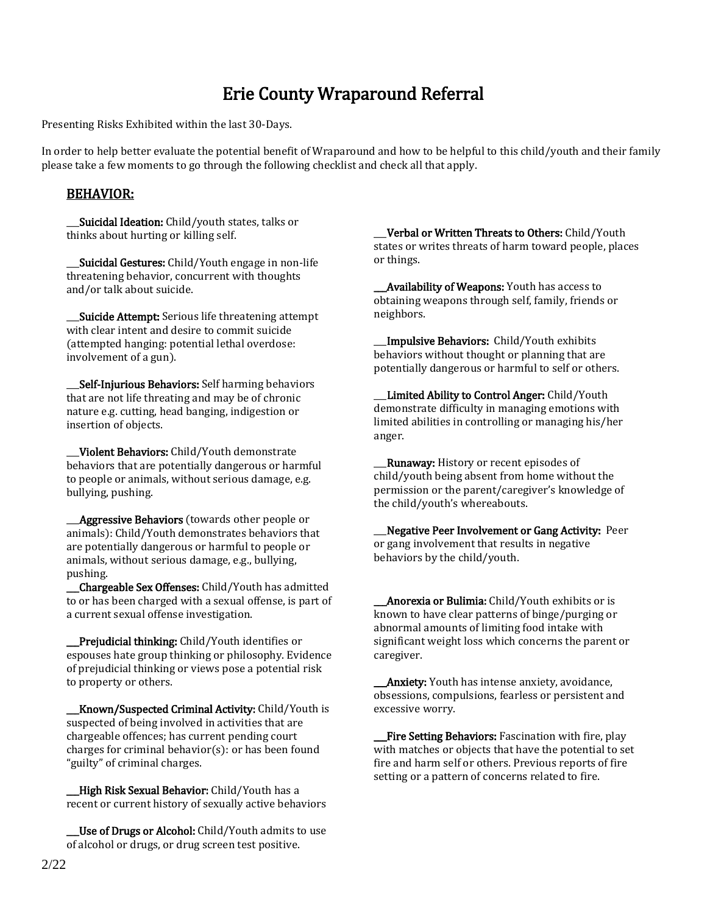## Erie County Wraparound Referral

Presenting Risks Exhibited within the last 30-Days.

In order to help better evaluate the potential benefit of Wraparound and how to be helpful to this child/youth and their family please take a few moments to go through the following checklist and check all that apply.

#### BEHAVIOR:

Suicidal Ideation: Child/youth states, talks or thinks about hurting or killing self.

Suicidal Gestures: Child/Youth engage in non-life threatening behavior, concurrent with thoughts and/or talk about suicide.

**Suicide Attempt:** Serious life threatening attempt with clear intent and desire to commit suicide (attempted hanging: potential lethal overdose: involvement of a gun).

Self-Injurious Behaviors: Self harming behaviors that are not life threating and may be of chronic nature e.g. cutting, head banging, indigestion or insertion of objects.

Violent Behaviors: Child/Youth demonstrate behaviors that are potentially dangerous or harmful to people or animals, without serious damage, e.g. bullying, pushing.

**\_\_Aggressive Behaviors** (towards other people or animals): Child/Youth demonstrates behaviors that are potentially dangerous or harmful to people or animals, without serious damage, e.g., bullying, pushing.

Chargeable Sex Offenses: Child/Youth has admitted to or has been charged with a sexual offense, is part of a current sexual offense investigation.

\_\_\_Prejudicial thinking: Child/Youth identifies or espouses hate group thinking or philosophy. Evidence of prejudicial thinking or views pose a potential risk to property or others.

**Known/Suspected Criminal Activity: Child/Youth is** suspected of being involved in activities that are chargeable offences; has current pending court charges for criminal behavior(s): or has been found "guilty" of criminal charges.

High Risk Sexual Behavior: Child/Youth has a recent or current history of sexually active behaviors

Use of Drugs or Alcohol: Child/Youth admits to use of alcohol or drugs, or drug screen test positive.

Verbal or Written Threats to Others: Child/Youth states or writes threats of harm toward people, places or things.

\_\_\_Availability of Weapons: Youth has access to obtaining weapons through self, family, friends or neighbors.

Impulsive Behaviors: Child/Youth exhibits behaviors without thought or planning that are potentially dangerous or harmful to self or others.

Limited Ability to Control Anger: Child/Youth demonstrate difficulty in managing emotions with limited abilities in controlling or managing his/her anger.

**Runaway:** History or recent episodes of child/youth being absent from home without the permission or the parent/caregiver's knowledge of the child/youth's whereabouts.

\_\_\_Negative Peer Involvement or Gang Activity: Peer or gang involvement that results in negative behaviors by the child/youth.

Anorexia or Bulimia: Child/Youth exhibits or is known to have clear patterns of binge/purging or abnormal amounts of limiting food intake with significant weight loss which concerns the parent or caregiver.

**Anxiety:** Youth has intense anxiety, avoidance, obsessions, compulsions, fearless or persistent and excessive worry.

Fire Setting Behaviors: Fascination with fire, play with matches or objects that have the potential to set fire and harm self or others. Previous reports of fire setting or a pattern of concerns related to fire.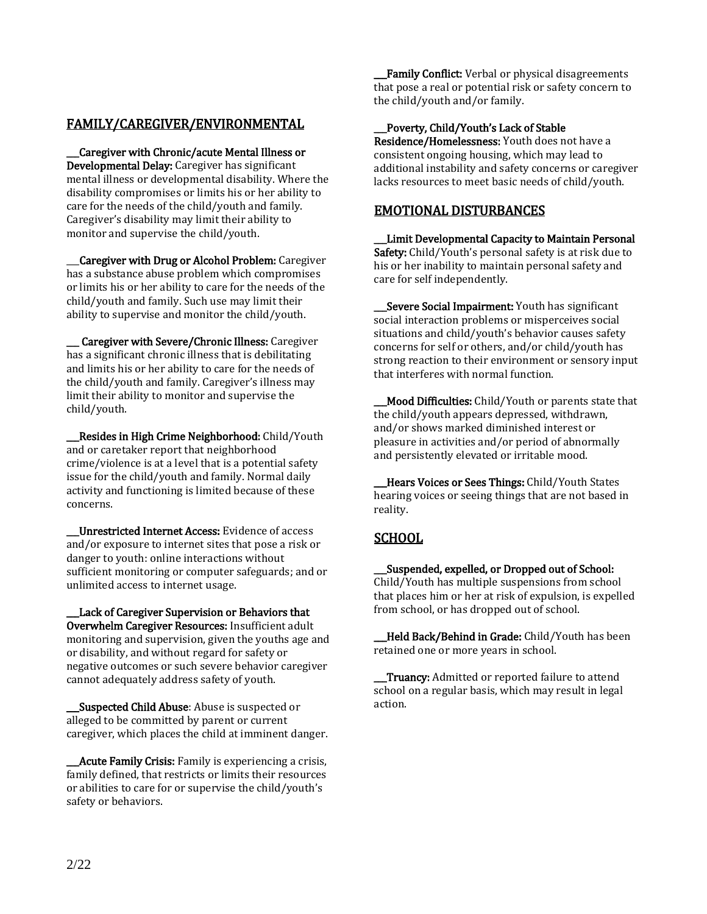## FAMILY/CAREGIVER/ENVIRONMENTAL

\_\_\_Caregiver with Chronic/acute Mental Illness or Developmental Delay: Caregiver has significant mental illness or developmental disability. Where the disability compromises or limits his or her ability to care for the needs of the child/youth and family. Caregiver's disability may limit their ability to monitor and supervise the child/youth.

Caregiver with Drug or Alcohol Problem: Caregiver has a substance abuse problem which compromises or limits his or her ability to care for the needs of the child/youth and family. Such use may limit their ability to supervise and monitor the child/youth.

\_\_\_ Caregiver with Severe/Chronic Illness: Caregiver has a significant chronic illness that is debilitating and limits his or her ability to care for the needs of the child/youth and family. Caregiver's illness may limit their ability to monitor and supervise the child/youth.

**\_\_Resides in High Crime Neighborhood:** Child/Youth and or caretaker report that neighborhood crime/violence is at a level that is a potential safety issue for the child/youth and family. Normal daily activity and functioning is limited because of these concerns.

\_\_\_Unrestricted Internet Access: Evidence of access and/or exposure to internet sites that pose a risk or danger to youth: online interactions without sufficient monitoring or computer safeguards; and or unlimited access to internet usage.

Lack of Caregiver Supervision or Behaviors that Overwhelm Caregiver Resources: Insufficient adult monitoring and supervision, given the youths age and or disability, and without regard for safety or negative outcomes or such severe behavior caregiver cannot adequately address safety of youth.

**Suspected Child Abuse:** Abuse is suspected or alleged to be committed by parent or current caregiver, which places the child at imminent danger.

**\_\_Acute Family Crisis:** Family is experiencing a crisis, family defined, that restricts or limits their resources or abilities to care for or supervise the child/youth's safety or behaviors.

**Family Conflict:** Verbal or physical disagreements that pose a real or potential risk or safety concern to the child/youth and/or family.

#### \_\_\_Poverty, Child/Youth's Lack of Stable

Residence/Homelessness: Youth does not have a consistent ongoing housing, which may lead to additional instability and safety concerns or caregiver lacks resources to meet basic needs of child/youth.

### EMOTIONAL DISTURBANCES

\_\_\_Limit Developmental Capacity to Maintain Personal Safety: Child/Youth's personal safety is at risk due to his or her inability to maintain personal safety and care for self independently.

Severe Social Impairment: Youth has significant social interaction problems or misperceives social situations and child/youth's behavior causes safety concerns for self or others, and/or child/youth has strong reaction to their environment or sensory input that interferes with normal function.

Mood Difficulties: Child/Youth or parents state that the child/youth appears depressed, withdrawn, and/or shows marked diminished interest or pleasure in activities and/or period of abnormally and persistently elevated or irritable mood.

Hears Voices or Sees Things: Child/Youth States hearing voices or seeing things that are not based in reality.

## **SCHOOL**

\_\_\_Suspended, expelled, or Dropped out of School: Child/Youth has multiple suspensions from school that places him or her at risk of expulsion, is expelled from school, or has dropped out of school.

Held Back/Behind in Grade: Child/Youth has been retained one or more years in school.

Truancy: Admitted or reported failure to attend school on a regular basis, which may result in legal action.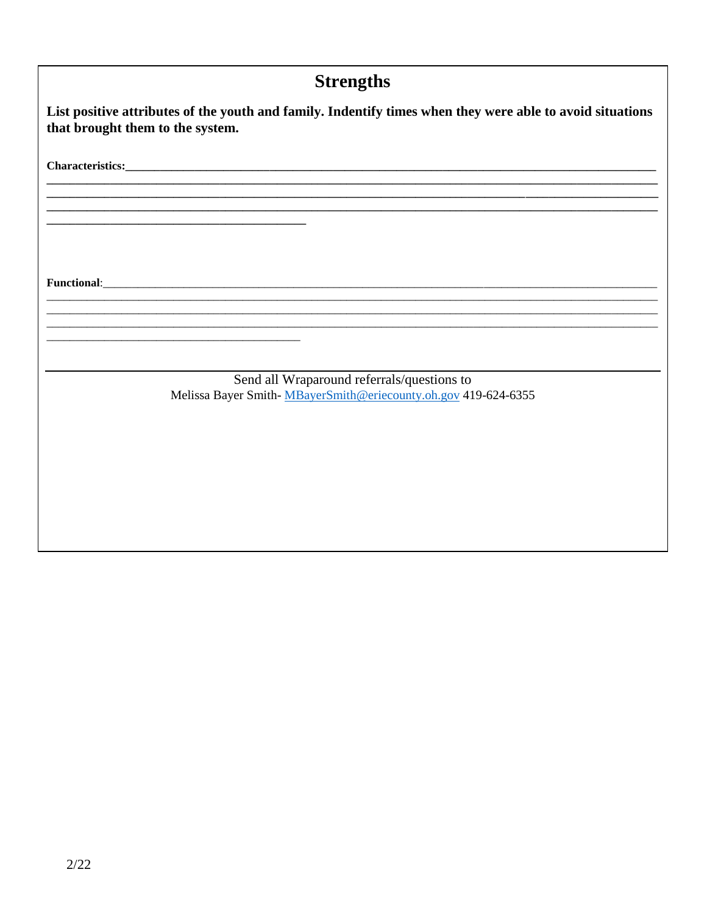| <b>Strengths</b>                                                                                                                                                                                                                   |  |  |  |
|------------------------------------------------------------------------------------------------------------------------------------------------------------------------------------------------------------------------------------|--|--|--|
| List positive attributes of the youth and family. Indentify times when they were able to avoid situations<br>that brought them to the system.                                                                                      |  |  |  |
|                                                                                                                                                                                                                                    |  |  |  |
|                                                                                                                                                                                                                                    |  |  |  |
| and the state of the state of the state of the state of the state of the state of the state of the state of the                                                                                                                    |  |  |  |
| <b>Functional:</b> The contract of the contract of the contract of the contract of the contract of the contract of the contract of the contract of the contract of the contract of the contract of the contract of the contract of |  |  |  |
|                                                                                                                                                                                                                                    |  |  |  |
| Send all Wraparound referrals/questions to                                                                                                                                                                                         |  |  |  |
| Melissa Bayer Smith-MBayerSmith@eriecounty.oh.gov 419-624-6355                                                                                                                                                                     |  |  |  |
|                                                                                                                                                                                                                                    |  |  |  |
|                                                                                                                                                                                                                                    |  |  |  |